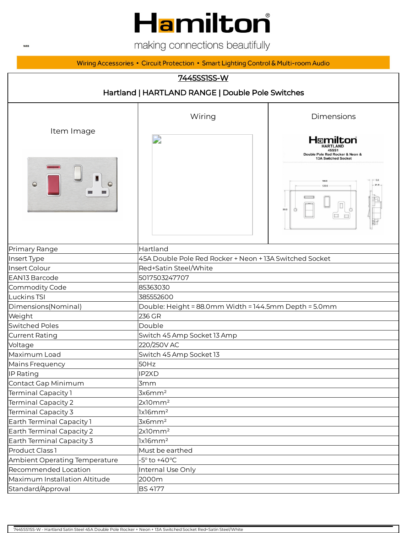# Hamilton

making connections beautifully

Wiring Accessories • Circuit Protection • Smart Lighting Control & Multi-room Audio

#### 7445SS1SS-W

| Hartland   HARTLAND RANGE   Double Pole Switches |                                                         |                                                                         |  |
|--------------------------------------------------|---------------------------------------------------------|-------------------------------------------------------------------------|--|
|                                                  | Wiring                                                  | Dimensions                                                              |  |
| Item Image                                       | D                                                       | Hamilton<br><b>HARTLAND</b><br>45SS1<br>Double Pole Red Rocker & Neon & |  |
| $\ominus$                                        |                                                         | 13A Switched Socket<br>88.0                                             |  |
| Primary Range                                    | Hartland                                                |                                                                         |  |
| Insert Type                                      | 45A Double Pole Red Rocker + Neon + 13A Switched Socket |                                                                         |  |
| Insert Colour                                    | Red+Satin Steel/White                                   |                                                                         |  |
| EAN13 Barcode                                    | 5017503247707                                           |                                                                         |  |
| Commodity Code                                   | 85363030                                                |                                                                         |  |
| Luckins TSI                                      | 385552600                                               |                                                                         |  |
| Dimensions(Nominal)                              | Double: Height = 88.0mm Width = 144.5mm Depth = 5.0mm   |                                                                         |  |
| Weight                                           | 236 GR                                                  |                                                                         |  |
| <b>Switched Poles</b>                            | Double                                                  |                                                                         |  |
| <b>Current Rating</b>                            | Switch 45 Amp Socket 13 Amp                             |                                                                         |  |
| Voltage                                          | 220/250V AC                                             |                                                                         |  |
| Maximum Load                                     | Switch 45 Amp Socket 13                                 |                                                                         |  |
| Mains Frequency                                  | 50Hz                                                    |                                                                         |  |
| IP Rating                                        | IP2XD                                                   |                                                                         |  |
| Contact Gap Minimum                              | 3mm                                                     |                                                                         |  |
| Terminal Capacity 1                              | 3x6mm <sup>2</sup>                                      |                                                                         |  |
| Terminal Capacity 2                              | 2x10mm <sup>2</sup>                                     |                                                                         |  |
| Terminal Capacity 3                              | lx16mm <sup>2</sup>                                     |                                                                         |  |
| Earth Terminal Capacity 1                        | 3x6mm <sup>2</sup>                                      |                                                                         |  |
| Earth Terminal Capacity 2                        | 2x10mm <sup>2</sup>                                     |                                                                         |  |
| Earth Terminal Capacity 3                        | lx16mm <sup>2</sup>                                     |                                                                         |  |
| Product Class 1                                  | Must be earthed                                         |                                                                         |  |
| Ambient Operating Temperature                    | $-5^\circ$ to $+40^\circ C$                             |                                                                         |  |
| Recommended Location                             | Internal Use Only                                       |                                                                         |  |
| Maximum Installation Altitude                    | 2000m                                                   |                                                                         |  |
| Standard/Approval                                | <b>BS 4177</b>                                          |                                                                         |  |

**WEB**